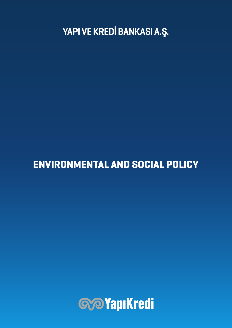YAPI VE KREDİ BANKASI A.Ş.

## ENVIRONMENTAL AND SOCIAL POLICY

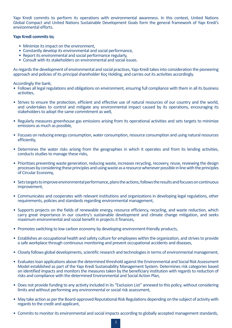Yapı Kredi commits to perform its operations with environmental awareness. In this context, United Nations Global Compact and United Nations Sustainable Development Goals form the general framework of Yapı Kredi's environmental efforts.

## **Yapı Kredi commits to;**

- Minimize its impact on the environment,
- Constantly develop its environmental and social performance,
- Report its environmental and social performance regularly,
- Consult with its stakeholders on environmental and social issues.

As regards the development of environmental and social practices, Yapı Kredi takes into consideration the pioneering approach and policies of its principal shareholder Koç Holding, and carries out its activities accordingly.

Accordingly the bank;

- Follows all legal regulations and obligations on environment, ensuring full compliance with them in all its business activities,
- Strives to ensure the protection, efficient and effective use of natural resources of our country and the world, and undertakes to control and mitigate any environmental impact caused by its operations, encouraging its stakeholders to adopt the same commitment as well,
- Regularly measures greenhouse gas emissions arising from its operational activities and sets targets to minimize emissions as much as possible,
- Focuses on reducing energy consumption, water consumption, resource consumption and using natural resources efficiently,
- Determines the water risks arising from the geographies in which it operates and from its lending activities, conducts studies to manage these risks,
- Prioritizes preventing waste generation, reducing waste, increases recycling, recovery, reuse, reviewing the design processes by considering these principles and using waste as a resource whenever possible in line with the principles of Circular Economy,
- Sets targets to improve environmental performance, plans the actions, follows the results and focuses on continuous improvement,
- Communicates and cooperates with relevant institutions and organizations in developing legal regulations, other requirements, policies and standards regarding environmental management,
- Supports projects on the fields of renewable energy, resource efficiency, recycling, and waste reduction, which carry great importance in our country's sustainable development and climate change mitigation, and seeks maximum environmental and social benefit in projects it finances,
- Promotes switching to low carbon economy by developing environment-friendly products,
- Establishes an occupational health and safety culture for employees within the organization, and strives to provide a safe workplace through continuous monitoring and prevent occupational accidents and diseases,
- Closely follows global developments, scientific research and technologies in terms of environmental management,
- Evaluates loan applications above the determined threshold against the Environmental and Social Risk Assessment Model established as part of the Yapı Kredi Sustainability Management System. Determines risk categories based on identified impacts and monitors the measures taken by the beneficiary institution with regards to reduction of risks and compliance with the determined Environmental and Social Action Plan,
- Does not provide funding to any activity included in its "Exclusion List" annexed to this policy, without considering limits and without performing any environmental or social risk assessment,
- May take action as per the Board-approved Reputational Risk Regulations depending on the subject of activity with regards to the credit and applicant,
- Commits to monitor its environmental and social impacts according to globally accepted management standards,